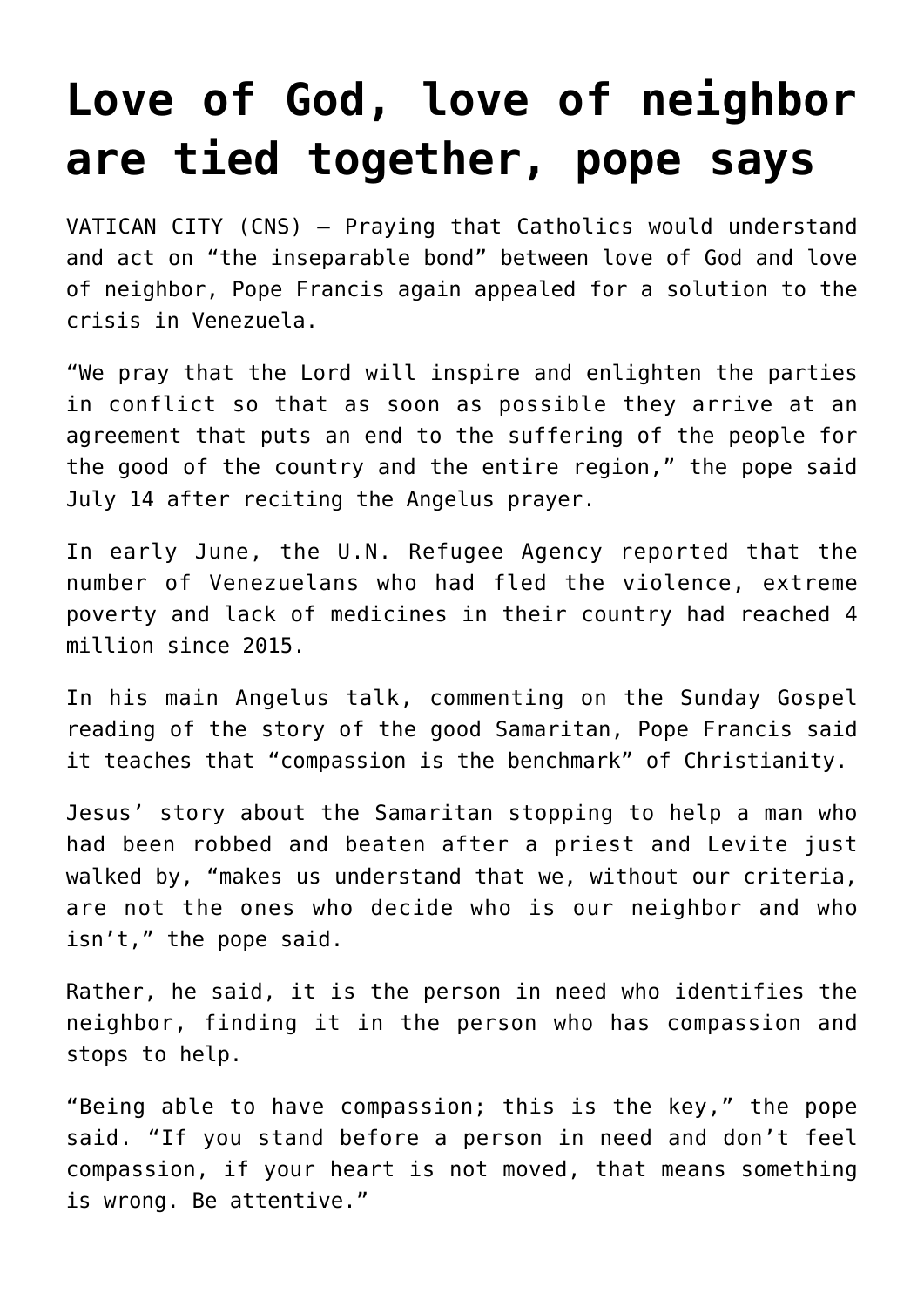## **[Love of God, love of neighbor](https://www.osvnews.com/2019/07/15/love-of-god-love-of-neighbor-are-tied-together-pope-says/) [are tied together, pope says](https://www.osvnews.com/2019/07/15/love-of-god-love-of-neighbor-are-tied-together-pope-says/)**

VATICAN CITY (CNS) — Praying that Catholics would understand and act on "the inseparable bond" between love of God and love of neighbor, Pope Francis again appealed for a solution to the crisis in Venezuela.

"We pray that the Lord will inspire and enlighten the parties in conflict so that as soon as possible they arrive at an agreement that puts an end to the suffering of the people for the good of the country and the entire region," the pope said July 14 after reciting the Angelus prayer.

In early June, the U.N. Refugee Agency reported that the number of Venezuelans who had fled the violence, extreme poverty and lack of medicines in their country had reached 4 million since 2015.

In his main Angelus talk, commenting on the Sunday Gospel reading of the story of the good Samaritan, Pope Francis said it teaches that "compassion is the benchmark" of Christianity.

Jesus' story about the Samaritan stopping to help a man who had been robbed and beaten after a priest and Levite just walked by, "makes us understand that we, without our criteria, are not the ones who decide who is our neighbor and who isn't," the pope said.

Rather, he said, it is the person in need who identifies the neighbor, finding it in the person who has compassion and stops to help.

"Being able to have compassion; this is the key," the pope said. "If you stand before a person in need and don't feel compassion, if your heart is not moved, that means something is wrong. Be attentive."